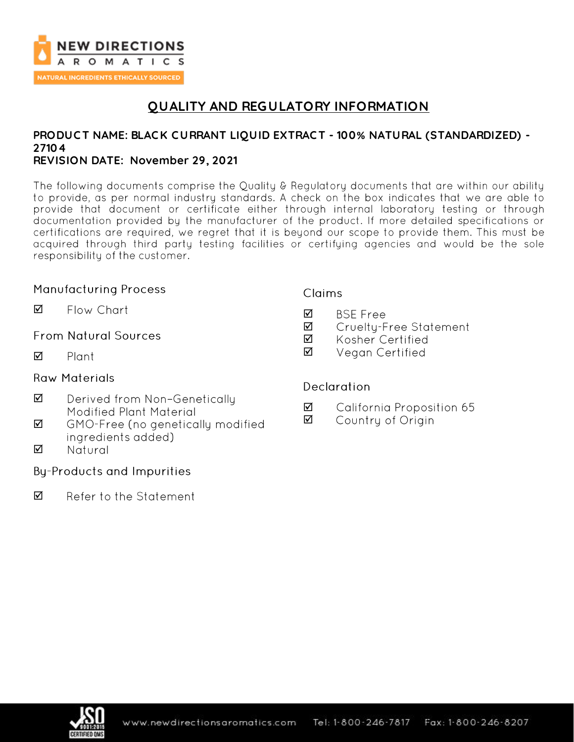

# **QUALITY AND REGULATORY INFORMATION**

# **PRODUC T NAME: BLAC K C URRANT LIQUID EXTRAC T - 100% NATURAL (STANDARDIZED) - 27104**

## **REVISION DATE: November 29, 2021**

The following documents comprise the Quality & Regulatory documents that are within our ability to provide, as per normal industry standards. A check on the box indicates that we are able to provide that document or certificate either through internal laboratory testing or through documentation provided by the manufacturer of the product. If more detailed specifications or certifications are required, we regret that it is beyond our scope to provide them. This must be acquired through third party testing facilities or certifying agencies and would be the sole responsibility of the customer.

## **Manufacturing Process**

Flow Chart ☑

### **From Natural Sources**

☑ Plant

### **Raw Materials**

- ☑ Derived from Non-Genetically **Modified Plant Material**
- $\triangledown$ GMO-Free (no genetically modified ingredients added)
- $\triangledown$ Natural

## **By-Products and Impurities**

☑ Refer to the Statement

#### **Claims**

- ☑ **BSF** Free
- ☑ Cruelty-Free Statement
- ☑ Kosher Certified
- Vegan Certified ☑

#### Declaration

- ☑ California Proposition 65
- ☑ Country of Origin

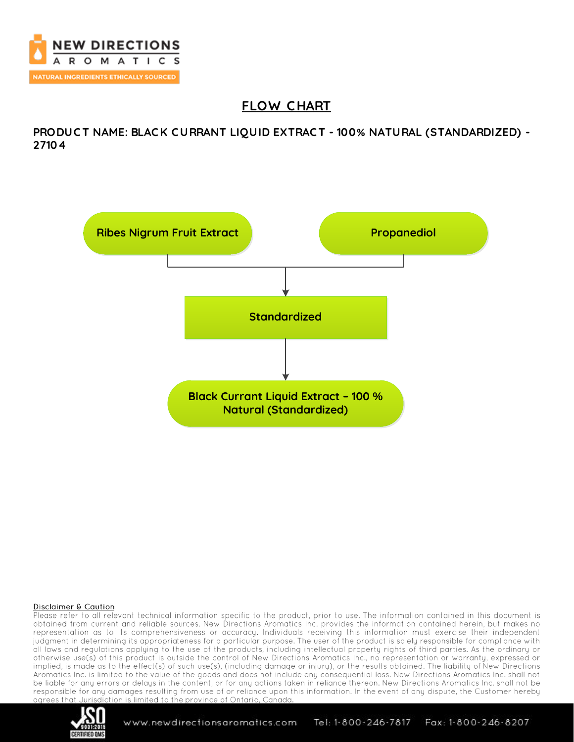

# **FLOW C HART**

**PRODUC T NAME: BLAC K C URRANT LIQUID EXTRAC T - 100% NATURAL (STANDARDIZED) - 27104**



#### Disclaimer & Caution

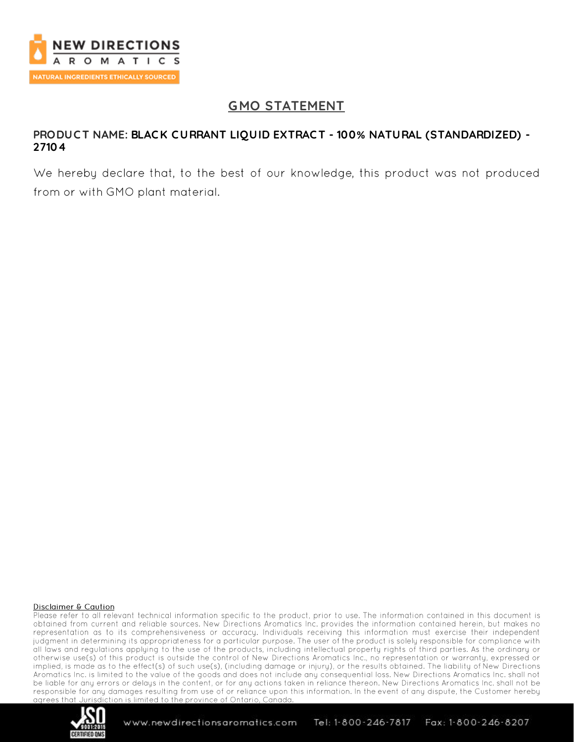

# **GMO STATEMENT**

### **PRODUC T NAME: BLAC K C URRANT LIQUID EXTRAC T - 100% NATURAL (STANDARDIZED) - 27104**

We hereby declare that, to the best of our knowledge, this product was not produced from or with GMO plant material.

#### Disclaimer & Caution

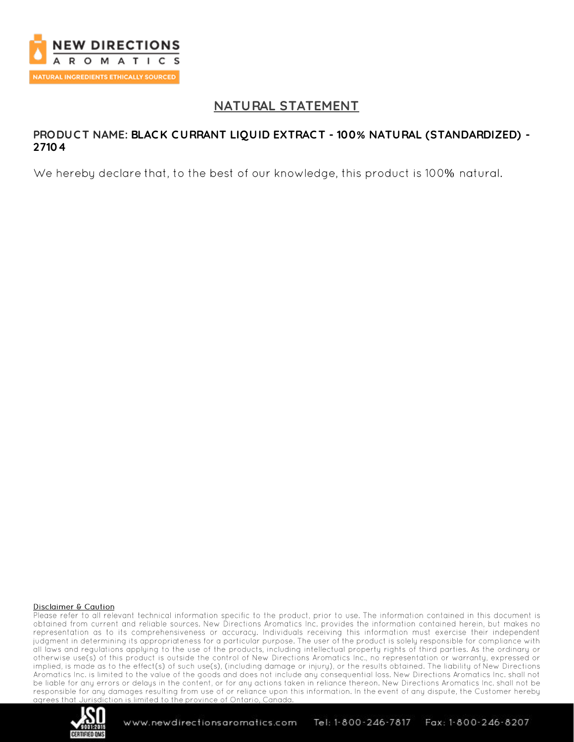

## **NATURAL STATEMENT**

### **PRODUC T NAME: BLAC K C URRANT LIQUID EXTRAC T - 100% NATURAL (STANDARDIZED) - 27104**

We hereby declare that, to the best of our knowledge, this product is 100% natural.

#### Disclaimer & Caution

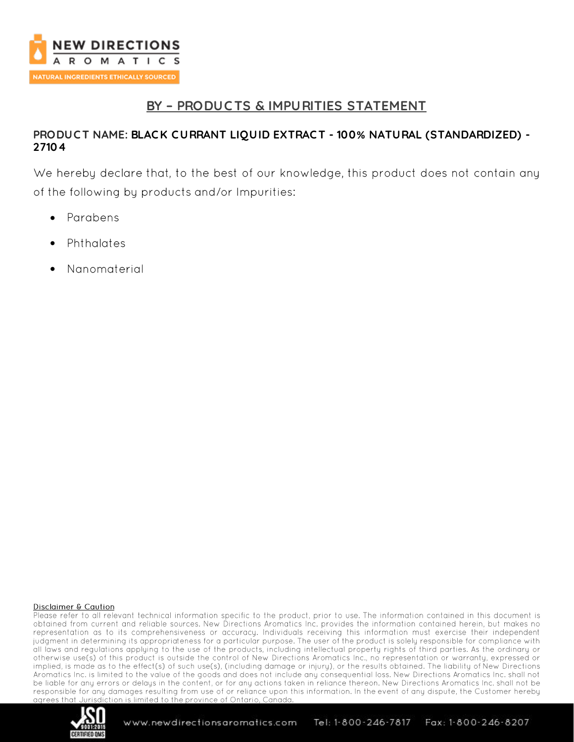

# **BY – PRODUC TS & IMPURITIES STATEMENT**

## **PRODUC T NAME: BLAC K C URRANT LIQUID EXTRAC T - 100% NATURAL (STANDARDIZED) - 27104**

We hereby declare that, to the best of our knowledge, this product does not contain any of the following by products and/or Impurities:

- Parabens
- Phthalates •
- Nanomaterial •

#### Disclaimer & Caution

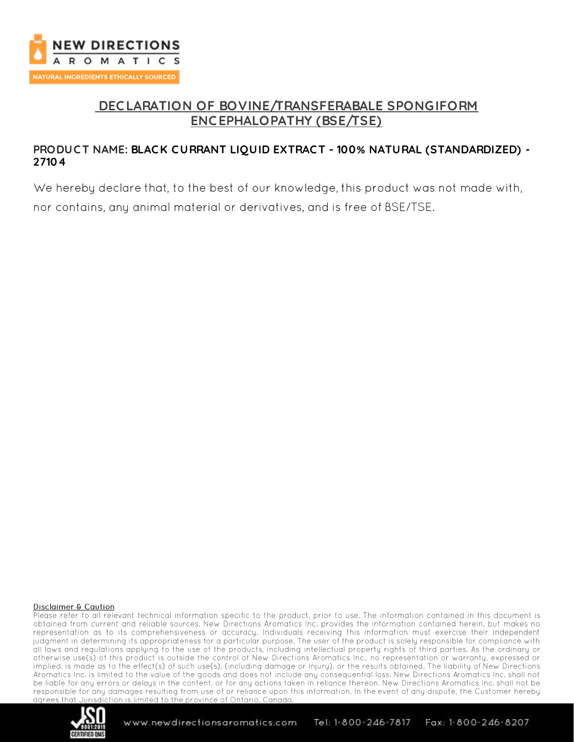

# **DEC LARATION OF BOVINE/TRANSFERABALE SPONGIFORM ENC EPHALOPATHY (BSE/TSE)**

## **PRODUC T NAME: BLAC K C URRANT LIQUID EXTRAC T - 100% NATURAL (STANDARDIZED) - 27104**

We hereby declare that, to the best of our knowledge, this product was not made with, nor contains, any animal material or derivatives, and is free of BSE/TSE.

#### Disclaimer & Caution

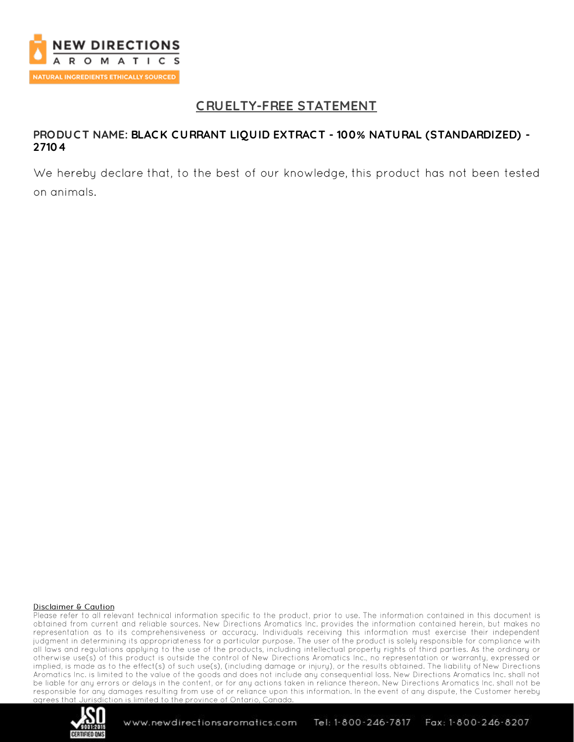

# **C RUELTY-FREE STATEMENT**

### **PRODUC T NAME: BLAC K C URRANT LIQUID EXTRAC T - 100% NATURAL (STANDARDIZED) - 27104**

We hereby declare that, to the best of our knowledge, this product has not been tested on animals.

#### Disclaimer & Caution

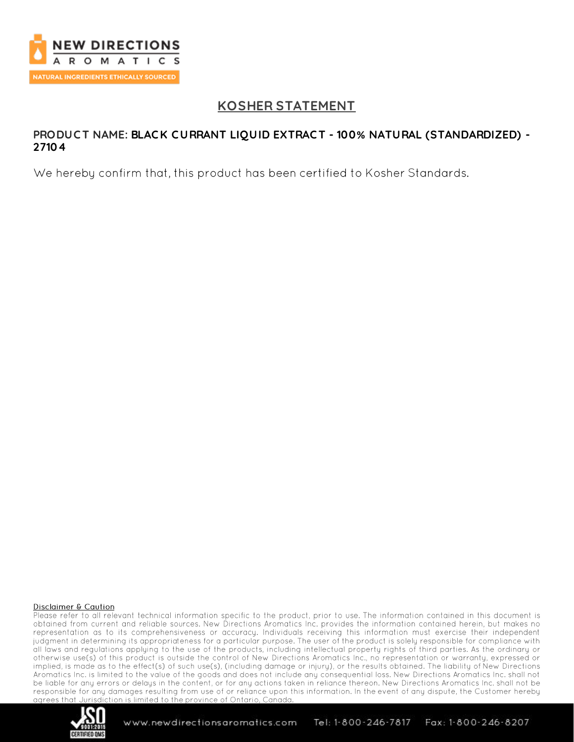

# **KOSHER STATEMENT**

### **PRODUC T NAME: BLAC K C URRANT LIQUID EXTRAC T - 100% NATURAL (STANDARDIZED) - 27104**

We hereby confirm that, this product has been certified to Kosher Standards.

#### Disclaimer & Caution

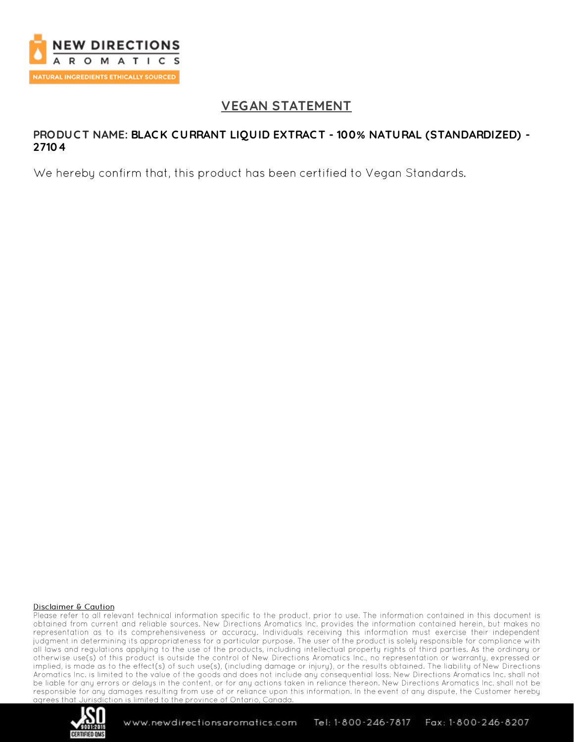

# **VEGAN STATEMENT**

### **PRODUC T NAME: BLAC K C URRANT LIQUID EXTRAC T - 100% NATURAL (STANDARDIZED) - 27104**

We hereby confirm that, this product has been certified to Vegan Standards.

#### Disclaimer & Caution

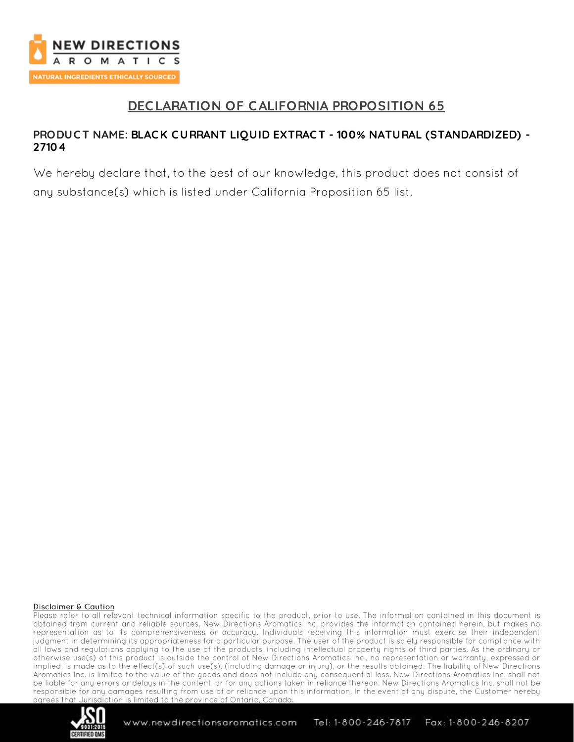

# **DEC LARATION OF CALIFORNIA PROPOSITION 65**

## **PRODUC T NAME: BLAC K C URRANT LIQUID EXTRAC T - 100% NATURAL (STANDARDIZED) - 27104**

We hereby declare that, to the best of our knowledge, this product does not consist of any substance(s) which is listed under California Proposition 65 list.

#### Disclaimer & Caution